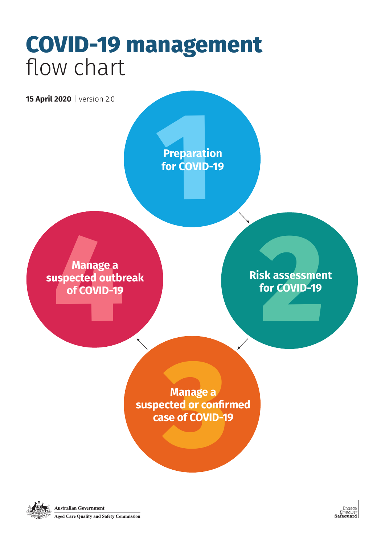### **COVID-19 management**  flow chart

Engage *Empower* **Safeguard**

**2**<br>Sk assessme<br>for COVID-19 **Risk assessment for COVID-19**

**Preparat**<br>for COVII **Preparation for COVID-19**

Manage a<br> **1994**<br>
1995 Spected outb<br>
1996 TCOVID-19 **Manage a suspected outbreak of COVID-19**

> **Manage a suspected or confirmed**





**Australian Government** 

**Aged Care Quality and Safety Commission**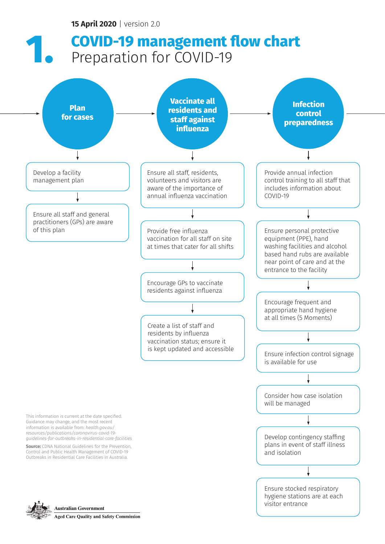This information is current at the date specified. Guidance may change, and the most recent information is available from: *health.gov.au/ resources/publications/coronavirus-covid-19 guidelines-for-outbreaks-in-residential-care-facilities*

**Source:** CDNA National Guidelines for the Prevention, Control and Public Health Management of COVID-19 Outbreaks in Residential Care Facilities in Australia.



**Australian Government** 

**Aged Care Quality and Safety Commission** 



Develop contingency staffing plans in event of staff illness and isolation

Ensure stocked respiratory hygiene stations are at each visitor entrance

### **15 April 2020** | version 2.0

# **COVID-19 management flow chart Preparation for COVID-19**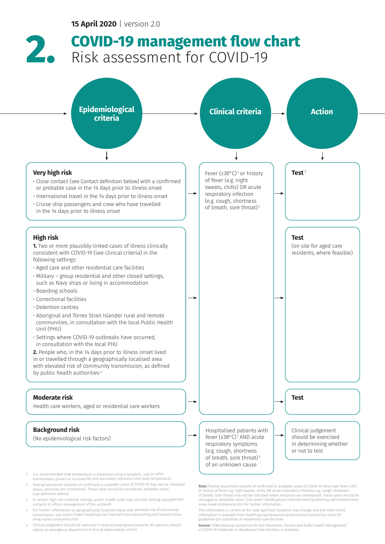## **COVID-19 management flow chart 2.** Risk assessment for COVID-19

**Note:** Testing household contacts of confirmed or probable cases of COVID-19 (who have fever ≥38˚C or history of fever; e.g. night sweats, chills; OR acute respiratory infection; e.g. cough, shortness of breath, sore throat) may not be indicated where resources are constrained. These cases should be managed as 'probable cases'. Visit: *www1. health.gov.au/internet/main/publishing.nsf/Content/cdnasong-novel-coron*avirus.htm for further information.

**Source:** CDNA National Guidelines for the Prevention, Control and Public Health Management of COVID-19 Outbreaks in Residential Care Facilities in Australia.

This information is current at the date specified. Guidance may change, and the most recent information is available from: *health.gov.au/resources/publications/coronavirus-covid-19 guidelines-for-outbreaks-in-residential-care-facilities*



Hospitalised patients with fever (≥38°C) 1 AND acute respiratory symptoms (e.g. cough, shortness of breath, sore throat)<sup>5</sup> of an unknown cause

Clinical judgement should be exercised in determining whether or not to test

#### **Background risk**

(No epidemiological risk factors)

- 1It is recommended that temperature is measured using a tympanic, oral or other thermometer proven to consistently and accurately represent core body temperature.
- 2 Testing household contacts of confirmed or probable cases of COVID-19 may not be indicated where resources are constrained. These cases would be considered 'probable cases' (see definition above).
- <sup>3</sup> In certain high risk outbreak settings, public health units may consider testing asymptomatic contacts to inform management of the outbreak.
- 4 For further information on geographically localised areas with elevated risk of community transmission, see: https://www1.health.gov.au/internet/main/publishing.nsf/Content/cdnasong-novel-coronavirus.htm
- <sup>5</sup> Clinical judgement should be exercised in testing hospitalised patients. All patients should attend an emergency department if clinical deterioration occurs.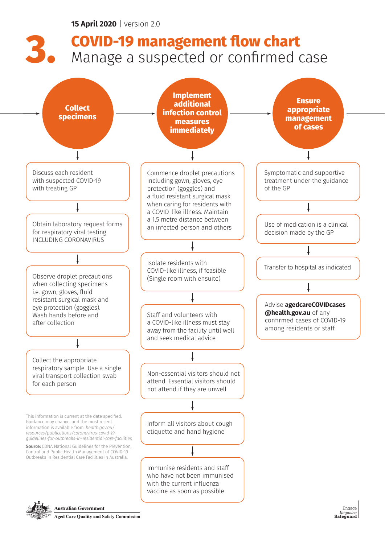

Inform all visitors about cough etiquette and hand hygiene

Immunise residents and staff who have not been immunised with the current influenza vaccine as soon as possible



**Australian Government** 

**Aged Care Quality and Safety Commission** 

**Source:** CDNA National Guidelines for the Prevention, Control and Public Health Management of COVID-19 Outbreaks in Residential Care Facilities in Australia.



This information is current at the date specified. Guidance may change, and the most recent information is available from: *health.gov.au/ resources/publications/coronavirus-covid-19 guidelines-for-outbreaks-in-residential-care-facilities*